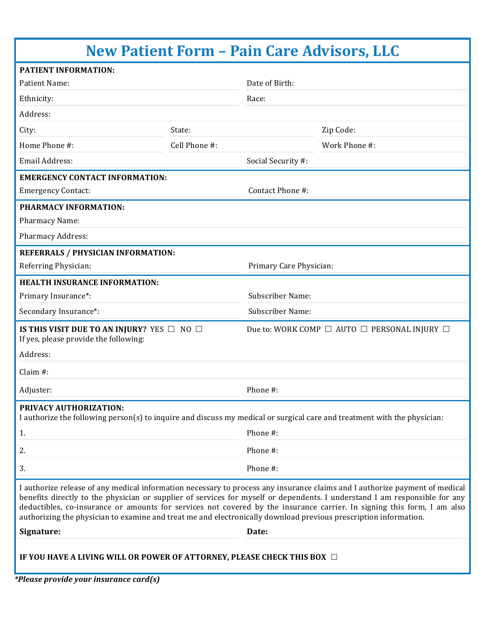| <b>New Patient Form - Pain Care Advisors, LLC</b>                                                                                                                                                                                                                                                                                                                                                                                                                                                        |               |                         |                                                             |  |
|----------------------------------------------------------------------------------------------------------------------------------------------------------------------------------------------------------------------------------------------------------------------------------------------------------------------------------------------------------------------------------------------------------------------------------------------------------------------------------------------------------|---------------|-------------------------|-------------------------------------------------------------|--|
| <b>PATIENT INFORMATION:</b>                                                                                                                                                                                                                                                                                                                                                                                                                                                                              |               |                         |                                                             |  |
| Patient Name:                                                                                                                                                                                                                                                                                                                                                                                                                                                                                            |               | Date of Birth:          |                                                             |  |
| Ethnicity:                                                                                                                                                                                                                                                                                                                                                                                                                                                                                               |               | Race:                   |                                                             |  |
| Address:                                                                                                                                                                                                                                                                                                                                                                                                                                                                                                 |               |                         |                                                             |  |
| City:                                                                                                                                                                                                                                                                                                                                                                                                                                                                                                    | State:        |                         | Zip Code:                                                   |  |
| Home Phone #:                                                                                                                                                                                                                                                                                                                                                                                                                                                                                            | Cell Phone #: |                         | Work Phone #:                                               |  |
| <b>Email Address:</b>                                                                                                                                                                                                                                                                                                                                                                                                                                                                                    |               | Social Security #:      |                                                             |  |
| <b>EMERGENCY CONTACT INFORMATION:</b>                                                                                                                                                                                                                                                                                                                                                                                                                                                                    |               |                         |                                                             |  |
| <b>Emergency Contact:</b>                                                                                                                                                                                                                                                                                                                                                                                                                                                                                |               | Contact Phone #:        |                                                             |  |
| PHARMACY INFORMATION:                                                                                                                                                                                                                                                                                                                                                                                                                                                                                    |               |                         |                                                             |  |
| Pharmacy Name:                                                                                                                                                                                                                                                                                                                                                                                                                                                                                           |               |                         |                                                             |  |
| <b>Pharmacy Address:</b>                                                                                                                                                                                                                                                                                                                                                                                                                                                                                 |               |                         |                                                             |  |
| REFERRALS / PHYSICIAN INFORMATION:                                                                                                                                                                                                                                                                                                                                                                                                                                                                       |               |                         |                                                             |  |
| Referring Physician:                                                                                                                                                                                                                                                                                                                                                                                                                                                                                     |               | Primary Care Physician: |                                                             |  |
| <b>HEALTH INSURANCE INFORMATION:</b>                                                                                                                                                                                                                                                                                                                                                                                                                                                                     |               |                         |                                                             |  |
| Primary Insurance*:                                                                                                                                                                                                                                                                                                                                                                                                                                                                                      |               | <b>Subscriber Name:</b> |                                                             |  |
| Secondary Insurance*:                                                                                                                                                                                                                                                                                                                                                                                                                                                                                    |               | Subscriber Name:        |                                                             |  |
| IS THIS VISIT DUE TO AN INJURY? YES $\Box$ NO $\Box$<br>If yes, please provide the following:                                                                                                                                                                                                                                                                                                                                                                                                            |               |                         | Due to: WORK COMP $\Box$ AUTO $\Box$ PERSONAL INJURY $\Box$ |  |
| Address:                                                                                                                                                                                                                                                                                                                                                                                                                                                                                                 |               |                         |                                                             |  |
| Claim #:                                                                                                                                                                                                                                                                                                                                                                                                                                                                                                 |               |                         |                                                             |  |
| Adjuster:                                                                                                                                                                                                                                                                                                                                                                                                                                                                                                |               | Phone #:                |                                                             |  |
| PRIVACY AUTHORIZATION:<br>I authorize the following person(s) to inquire and discuss my medical or surgical care and treatment with the physician:                                                                                                                                                                                                                                                                                                                                                       |               |                         |                                                             |  |
| 1.                                                                                                                                                                                                                                                                                                                                                                                                                                                                                                       |               | Phone #:                |                                                             |  |
| 2.                                                                                                                                                                                                                                                                                                                                                                                                                                                                                                       |               | Phone #:                |                                                             |  |
| 3.                                                                                                                                                                                                                                                                                                                                                                                                                                                                                                       |               | Phone #:                |                                                             |  |
| I authorize release of any medical information necessary to process any insurance claims and I authorize payment of medical<br>benefits directly to the physician or supplier of services for myself or dependents. I understand I am responsible for any<br>deductibles, co-insurance or amounts for services not covered by the insurance carrier. In signing this form, I am also<br>authorizing the physician to examine and treat me and electronically download previous prescription information. |               |                         |                                                             |  |
| Signature:                                                                                                                                                                                                                                                                                                                                                                                                                                                                                               |               | Date:                   |                                                             |  |
| IF YOU HAVE A LIVING WILL OR POWER OF ATTORNEY, PLEASE CHECK THIS BOX $\Box$                                                                                                                                                                                                                                                                                                                                                                                                                             |               |                         |                                                             |  |

*\*Please provide your insurance card(s)*